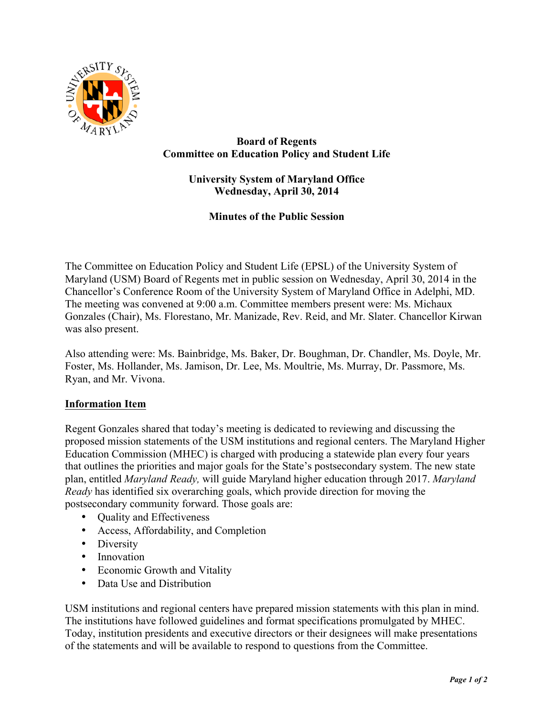

## **Board of Regents Committee on Education Policy and Student Life**

# **University System of Maryland Office Wednesday, April 30, 2014**

**Minutes of the Public Session**

The Committee on Education Policy and Student Life (EPSL) of the University System of Maryland (USM) Board of Regents met in public session on Wednesday, April 30, 2014 in the Chancellor's Conference Room of the University System of Maryland Office in Adelphi, MD. The meeting was convened at 9:00 a.m. Committee members present were: Ms. Michaux Gonzales (Chair), Ms. Florestano, Mr. Manizade, Rev. Reid, and Mr. Slater. Chancellor Kirwan was also present.

Also attending were: Ms. Bainbridge, Ms. Baker, Dr. Boughman, Dr. Chandler, Ms. Doyle, Mr. Foster, Ms. Hollander, Ms. Jamison, Dr. Lee, Ms. Moultrie, Ms. Murray, Dr. Passmore, Ms. Ryan, and Mr. Vivona.

## **Information Item**

Regent Gonzales shared that today's meeting is dedicated to reviewing and discussing the proposed mission statements of the USM institutions and regional centers. The Maryland Higher Education Commission (MHEC) is charged with producing a statewide plan every four years that outlines the priorities and major goals for the State's postsecondary system. The new state plan, entitled *Maryland Ready,* will guide Maryland higher education through 2017. *Maryland Ready* has identified six overarching goals, which provide direction for moving the postsecondary community forward. Those goals are:

- Quality and Effectiveness
- Access, Affordability, and Completion
- Diversity
- Innovation
- Economic Growth and Vitality
- Data Use and Distribution

USM institutions and regional centers have prepared mission statements with this plan in mind. The institutions have followed guidelines and format specifications promulgated by MHEC. Today, institution presidents and executive directors or their designees will make presentations of the statements and will be available to respond to questions from the Committee.